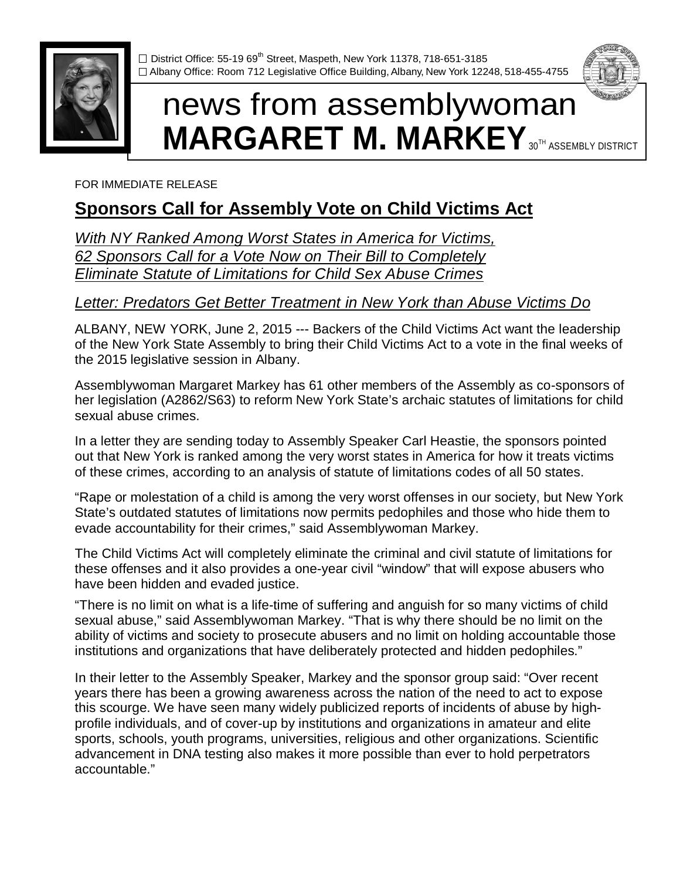

 $\Box$  District Office: 55-19 69<sup>th</sup> Street, Maspeth, New York 11378, 718-651-3185 □ Albany Office: Room 712 Legislative Office Building, Albany, New York 12248, 518-455-4755

# news from assemblywoman **MARGARET M. MARKEY** 30TH ASSEMBLY DISTRICT

FOR IMMEDIATE RELEASE

## **Sponsors Call for Assembly Vote on Child Victims Act**

*With NY Ranked Among Worst States in America for Victims, 62 Sponsors Call for a Vote Now on Their Bill to Completely Eliminate Statute of Limitations for Child Sex Abuse Crimes* 

### *Letter: Predators Get Better Treatment in New York than Abuse Victims Do*

ALBANY, NEW YORK, June 2, 2015 --- Backers of the Child Victims Act want the leadership of the New York State Assembly to bring their Child Victims Act to a vote in the final weeks of the 2015 legislative session in Albany.

Assemblywoman Margaret Markey has 61 other members of the Assembly as co-sponsors of her legislation (A2862/S63) to reform New York State's archaic statutes of limitations for child sexual abuse crimes.

In a letter they are sending today to Assembly Speaker Carl Heastie, the sponsors pointed out that New York is ranked among the very worst states in America for how it treats victims of these crimes, according to an analysis of statute of limitations codes of all 50 states.

"Rape or molestation of a child is among the very worst offenses in our society, but New York State's outdated statutes of limitations now permits pedophiles and those who hide them to evade accountability for their crimes," said Assemblywoman Markey.

The Child Victims Act will completely eliminate the criminal and civil statute of limitations for these offenses and it also provides a one-year civil "window" that will expose abusers who have been hidden and evaded justice.

"There is no limit on what is a life-time of suffering and anguish for so many victims of child sexual abuse," said Assemblywoman Markey. "That is why there should be no limit on the ability of victims and society to prosecute abusers and no limit on holding accountable those institutions and organizations that have deliberately protected and hidden pedophiles."

In their letter to the Assembly Speaker, Markey and the sponsor group said: "Over recent years there has been a growing awareness across the nation of the need to act to expose this scourge. We have seen many widely publicized reports of incidents of abuse by highprofile individuals, and of cover-up by institutions and organizations in amateur and elite sports, schools, youth programs, universities, religious and other organizations. Scientific advancement in DNA testing also makes it more possible than ever to hold perpetrators accountable."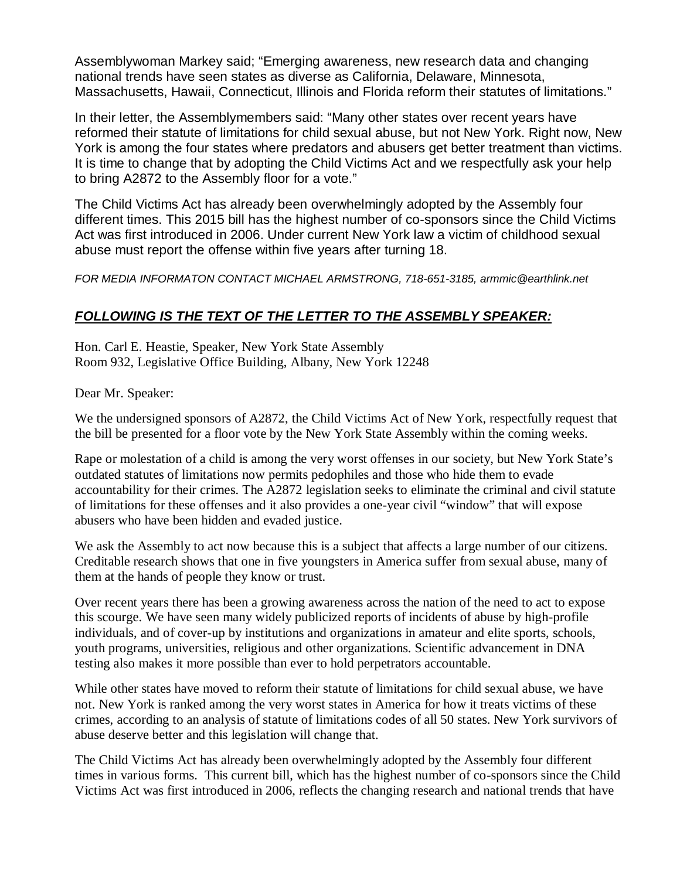Assemblywoman Markey said; "Emerging awareness, new research data and changing national trends have seen states as diverse as California, Delaware, Minnesota, Massachusetts, Hawaii, Connecticut, Illinois and Florida reform their statutes of limitations."

In their letter, the Assemblymembers said: "Many other states over recent years have reformed their statute of limitations for child sexual abuse, but not New York. Right now, New York is among the four states where predators and abusers get better treatment than victims. It is time to change that by adopting the Child Victims Act and we respectfully ask your help to bring A2872 to the Assembly floor for a vote."

The Child Victims Act has already been overwhelmingly adopted by the Assembly four different times. This 2015 bill has the highest number of co-sponsors since the Child Victims Act was first introduced in 2006. Under current New York law a victim of childhood sexual abuse must report the offense within five years after turning 18.

*FOR MEDIA INFORMATON CONTACT MICHAEL ARMSTRONG, 718-651-3185, armmic@earthlink.net*

#### *FOLLOWING IS THE TEXT OF THE LETTER TO THE ASSEMBLY SPEAKER:*

Hon. Carl E. Heastie, Speaker, New York State Assembly Room 932, Legislative Office Building, Albany, New York 12248

Dear Mr. Speaker:

We the undersigned sponsors of A2872, the Child Victims Act of New York, respectfully request that the bill be presented for a floor vote by the New York State Assembly within the coming weeks.

Rape or molestation of a child is among the very worst offenses in our society, but New York State's outdated statutes of limitations now permits pedophiles and those who hide them to evade accountability for their crimes. The A2872 legislation seeks to eliminate the criminal and civil statute of limitations for these offenses and it also provides a one-year civil "window" that will expose abusers who have been hidden and evaded justice.

We ask the Assembly to act now because this is a subject that affects a large number of our citizens. Creditable research shows that one in five youngsters in America suffer from sexual abuse, many of them at the hands of people they know or trust.

Over recent years there has been a growing awareness across the nation of the need to act to expose this scourge. We have seen many widely publicized reports of incidents of abuse by high-profile individuals, and of cover-up by institutions and organizations in amateur and elite sports, schools, youth programs, universities, religious and other organizations. Scientific advancement in DNA testing also makes it more possible than ever to hold perpetrators accountable.

While other states have moved to reform their statute of limitations for child sexual abuse, we have not. New York is ranked among the very worst states in America for how it treats victims of these crimes, according to an analysis of statute of limitations codes of all 50 states. New York survivors of abuse deserve better and this legislation will change that.

The Child Victims Act has already been overwhelmingly adopted by the Assembly four different times in various forms. This current bill, which has the highest number of co-sponsors since the Child Victims Act was first introduced in 2006, reflects the changing research and national trends that have